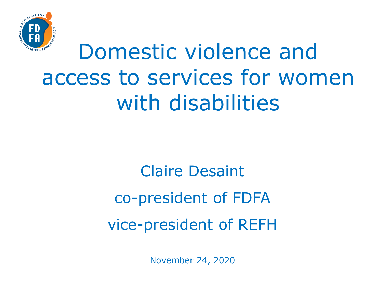

### Domestic violence and access to services for women with disabilities

Claire Desaint co-president of FDFA vice-president of REFH

November 24, 2020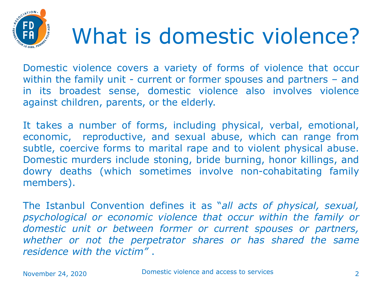

### What is domestic violence?

Domestic violence covers a variety of forms of violence that occur within the family unit - current or former spouses and partners - and in its broadest sense, domestic violence also involves violence against children, parents, or the elderly.

It takes a number of forms, including physical, verbal, emotional, economic, reproductive, and sexual abuse, which can range from subtle, coercive forms to marital rape and to violent physical abuse. Domestic murders include stoning, bride burning, honor killings, and dowry deaths (which sometimes involve non-cohabitating family members).

The Istanbul Convention defines it as "*all acts of physical, sexual, psychological or economic violence that occur within the family or domestic unit or between former or current spouses or partners, whether or not the perpetrator shares or has shared the same residence with the victim"* .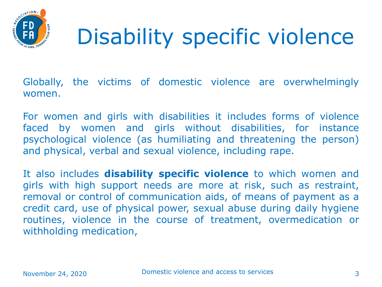

# Disability specific violence

Globally, the victims of domestic violence are overwhelmingly women.

For women and girls with disabilities it includes forms of violence faced by women and girls without disabilities, for instance psychological violence (as humiliating and threatening the person) and physical, verbal and sexual violence, including rape.

It also includes **disability specific violence** to which women and girls with high support needs are more at risk, such as restraint, removal or control of communication aids, of means of payment as a credit card, use of physical power, sexual abuse during daily hygiene routines, violence in the course of treatment, overmedication or withholding medication,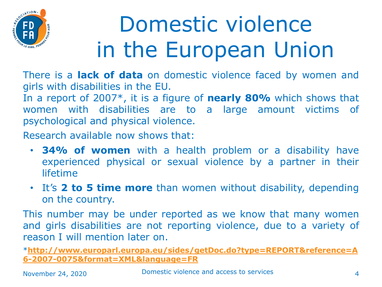

# Domestic violence in the European Union

There is a **lack of data** on domestic violence faced by women and girls with disabilities in the EU.

In a report of 2007\*, it is a figure of **nearly 80%** which shows that women with disabilities are to a large amount victims of psychological and physical violence.

Research available now shows that:

- **34% of women** with a health problem or a disability have experienced physical or sexual violence by a partner in their lifetime
- It's **2 to 5 time more** than women without disability, depending on the country.

This number may be under reported as we know that many women and girls disabilities are not reporting violence, due to a variety of reason I will mention later on.

\***[http://www.europarl.europa.eu/sides/getDoc.do?type=REPORT&reference=A](http://www.europarl.europa.eu/sides/getDoc.do?type=REPORT&reference=A6-2007-0075&format=XML&language=FR) 6-2007-0075&format=XML&language=FR**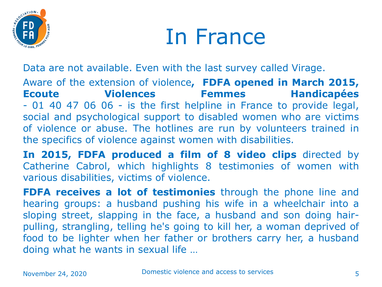

#### In France

Data are not available. Even with the last survey called Virage.

Aware of the extension of violence**, FDFA opened in March 2015, Ecoute Violences Femmes Handicapées** - 01 40 47 06 06 - is the first helpline in France to provide legal, social and psychological support to disabled women who are victims of violence or abuse. The hotlines are run by volunteers trained in the specifics of violence against women with disabilities.

**In 2015, FDFA produced a film of 8 video clips** directed by Catherine Cabrol, which highlights 8 testimonies of women with various disabilities, victims of violence.

**FDFA receives a lot of testimonies** through the phone line and hearing groups: a husband pushing his wife in a wheelchair into a sloping street, slapping in the face, a husband and son doing hairpulling, strangling, telling he's going to kill her, a woman deprived of food to be lighter when her father or brothers carry her, a husband doing what he wants in sexual life …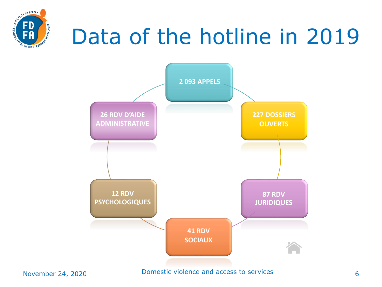

# Data of the hotline in 2019

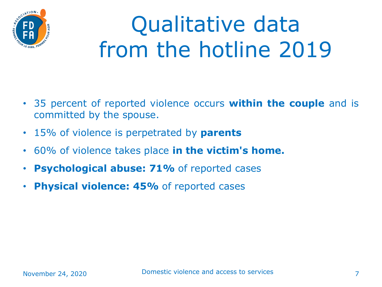

# Qualitative data from the hotline 2019

- 35 percent of reported violence occurs **within the couple** and is committed by the spouse.
- 15% of violence is perpetrated by **parents**
- 60% of violence takes place **in the victim's home.**
- **Psychological abuse: 71%** of reported cases
- **Physical violence: 45%** of reported cases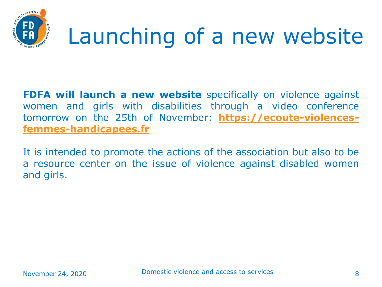

# Launching of a new website

**FDFA will launch a new website** specifically on violence against women and girls with disabilities through a video conference tomorrow on the 25th of November: **[https://ecoute-violences](https://ecoute-violences-femmes-handicapees.fr/)femmes-handicapees.fr**

It is intended to promote the actions of the association but also to be a resource center on the issue of violence against disabled women and girls.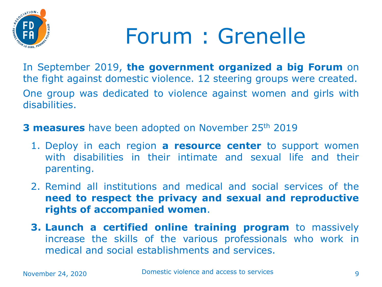

### Forum : Grenelle

In September 2019, **the government organized a big Forum** on the fight against domestic violence. 12 steering groups were created. One group was dedicated to violence against women and girls with disabilities.

**3 measures** have been adopted on November 25<sup>th</sup> 2019

- 1. Deploy in each region **a resource center** to support women with disabilities in their intimate and sexual life and their parenting.
- 2. Remind all institutions and medical and social services of the **need to respect the privacy and sexual and reproductive rights of accompanied women**.
- **3. Launch a certified online training program** to massively increase the skills of the various professionals who work in medical and social establishments and services.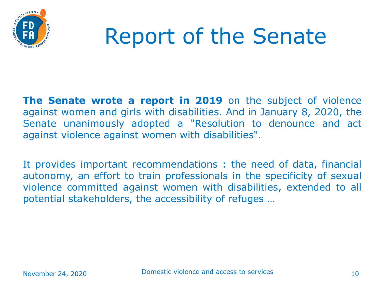

### Report of the Senate

**The Senate wrote a report in 2019** on the subject of violence against women and girls with disabilities. And in January 8, 2020, the Senate unanimously adopted a "Resolution to denounce and act against violence against women with disabilities".

It provides important recommendations : the need of data, financial autonomy, an effort to train professionals in the specificity of sexual violence committed against women with disabilities, extended to all potential stakeholders, the accessibility of refuges …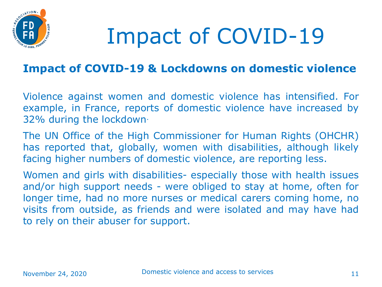

# Impact of COVID-19

#### **Impact of COVID-19 & Lockdowns on domestic violence**

Violence against women and domestic violence has intensified. For example, in France, reports of domestic violence have increased by 32% during the lockdown·

The UN Office of the High Commissioner for Human Rights (OHCHR) has reported that, globally, women with disabilities, although likely facing higher numbers of domestic violence, are reporting less.

Women and girls with disabilities- especially those with health issues and/or high support needs - were obliged to stay at home, often for longer time, had no more nurses or medical carers coming home, no visits from outside, as friends and were isolated and may have had to rely on their abuser for support.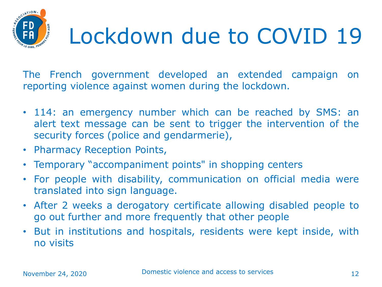#### SOCIATION. Lockdown due to COVID 19

The French government developed an extended campaign on reporting violence against women during the lockdown.

- 114: an emergency number which can be reached by SMS: an alert text message can be sent to trigger the intervention of the security forces (police and gendarmerie),
- Pharmacy Reception Points,
- Temporary "accompaniment points" in shopping centers
- For people with disability, communication on official media were translated into sign language.
- After 2 weeks a derogatory certificate allowing disabled people to go out further and more frequently that other people
- But in institutions and hospitals, residents were kept inside, with no visits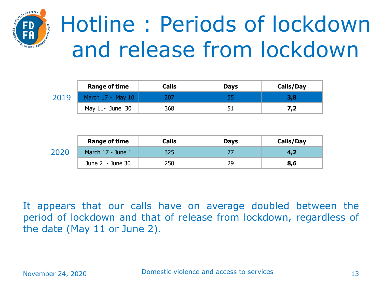

# Hotline : Periods of lockdown and release from lockdown

|      | <b>Range of time</b> | Calls | <b>Days</b> | Calls/Day |
|------|----------------------|-------|-------------|-----------|
| 2019 | March 17 - May 10    |       |             | 3,8       |
|      | May $11$ - June $30$ | 368   |             | 7,2       |

|      | <b>Range of time</b> | <b>Calls</b> | <b>Days</b> | Calls/Day |
|------|----------------------|--------------|-------------|-----------|
| 2020 | March 17 - June 1    | 325          |             |           |
|      | June $2 -$ June 30   | 250          | 29          | 8,6       |

It appears that our calls have on average doubled between the period of lockdown and that of release from lockdown, regardless of the date (May 11 or June 2).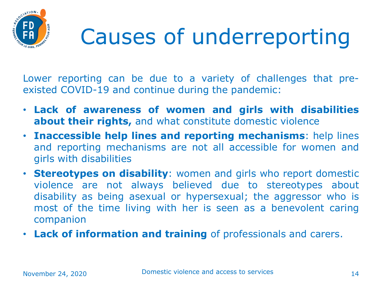

# Causes of underreporting

Lower reporting can be due to a variety of challenges that preexisted COVID-19 and continue during the pandemic:

- **Lack of awareness of women and girls with disabilities about their rights,** and what constitute domestic violence
- **Inaccessible help lines and reporting mechanisms**: help lines and reporting mechanisms are not all accessible for women and girls with disabilities
- **Stereotypes on disability**: women and girls who report domestic violence are not always believed due to stereotypes about disability as being asexual or hypersexual; the aggressor who is most of the time living with her is seen as a benevolent caring companion
- **Lack of information and training** of professionals and carers.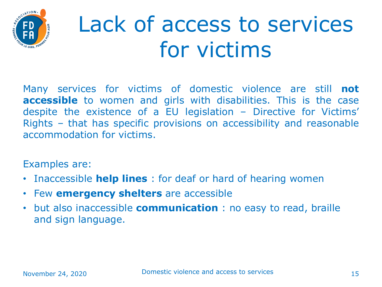

## Lack of access to services for victims

Many services for victims of domestic violence are still **not accessible** to women and girls with disabilities. This is the case despite the existence of a EU legislation – Directive for Victims' Rights – that has specific provisions on accessibility and reasonable accommodation for victims.

Examples are:

- Inaccessible **help lines** : for deaf or hard of hearing women
- Few **emergency shelters** are accessible
- but also inaccessible **communication** : no easy to read, braille and sign language.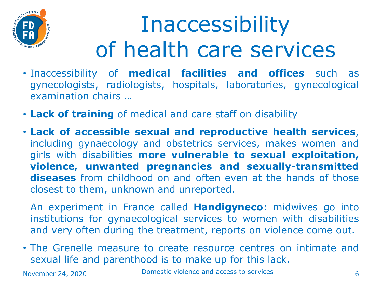

# **Inaccessibility** of health care services

- Inaccessibility of **medical facilities and offices** such as gynecologists, radiologists, hospitals, laboratories, gynecological examination chairs …
- **Lack of training** of medical and care staff on disability
- **Lack of accessible sexual and reproductive health services**, including gynaecology and obstetrics services, makes women and girls with disabilities **more vulnerable to sexual exploitation, violence, unwanted pregnancies and sexually-transmitted diseases** from childhood on and often even at the hands of those closest to them, unknown and unreported.

An experiment in France called **Handigyneco**: midwives go into institutions for gynaecological services to women with disabilities and very often during the treatment, reports on violence come out.

• The Grenelle measure to create resource centres on intimate and sexual life and parenthood is to make up for this lack.

November 24, 2020 **Domestic violence and access to services** 16